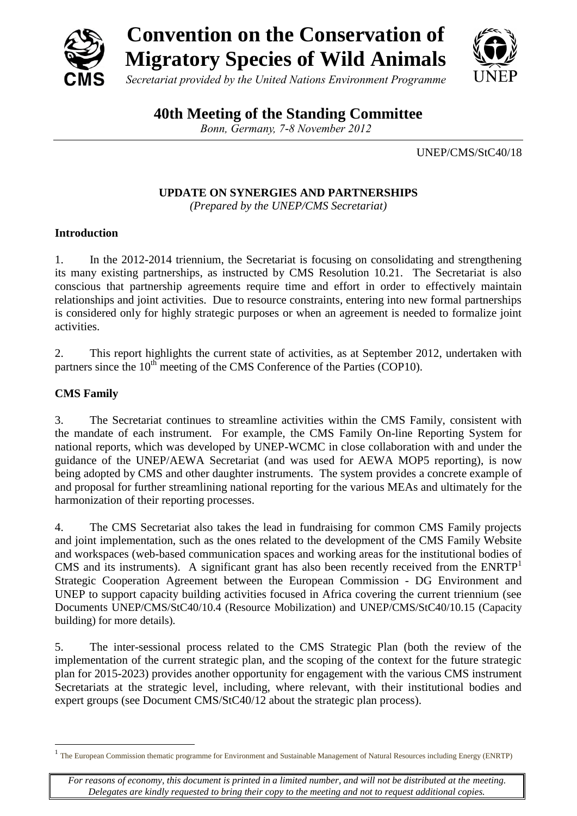

**40th Meeting of the Standing Committee**

*Bonn, Germany, 7-8 November 2012*

UNEP/CMS/StC40/18

**UPDATE ON SYNERGIES AND PARTNERSHIPS**

*(Prepared by the UNEP/CMS Secretariat)*

## **Introduction**

1. In the 2012-2014 triennium, the Secretariat is focusing on consolidating and strengthening its many existing partnerships, as instructed by CMS Resolution 10.21. The Secretariat is also conscious that partnership agreements require time and effort in order to effectively maintain relationships and joint activities. Due to resource constraints, entering into new formal partnerships is considered only for highly strategic purposes or when an agreement is needed to formalize joint activities.

2. This report highlights the current state of activities, as at September 2012, undertaken with partners since the  $10^{th}$  meeting of the CMS Conference of the Parties (COP10).

# **CMS Family**

1

3. The Secretariat continues to streamline activities within the CMS Family, consistent with the mandate of each instrument. For example, the CMS Family On-line Reporting System for national reports, which was developed by UNEP-WCMC in close collaboration with and under the guidance of the UNEP/AEWA Secretariat (and was used for AEWA MOP5 reporting), is now being adopted by CMS and other daughter instruments. The system provides a concrete example of and proposal for further streamlining national reporting for the various MEAs and ultimately for the harmonization of their reporting processes.

4. The CMS Secretariat also takes the lead in fundraising for common CMS Family projects and joint implementation, such as the ones related to the development of the CMS Family Website and workspaces (web-based communication spaces and working areas for the institutional bodies of CMS and its instruments). A significant grant has also been recently received from the  $ENRTP<sup>1</sup>$ Strategic Cooperation Agreement between the European Commission - DG Environment and UNEP to support capacity building activities focused in Africa covering the current triennium (see Documents UNEP/CMS/StC40/10.4 (Resource Mobilization) and UNEP/CMS/StC40/10.15 (Capacity building) for more details).

5. The inter-sessional process related to the CMS Strategic Plan (both the review of the implementation of the current strategic plan, and the scoping of the context for the future strategic plan for 2015-2023) provides another opportunity for engagement with the various CMS instrument Secretariats at the strategic level, including, where relevant, with their institutional bodies and expert groups (see Document CMS/StC40/12 about the strategic plan process).

<sup>1</sup> The European Commission thematic programme for Environment and Sustainable Management of Natural Resources including Energy (ENRTP)

*For reasons of economy, this document is printed in a limited number, and will not be distributed at the meeting. Delegates are kindly requested to bring their copy to the meeting and not to request additional copies.*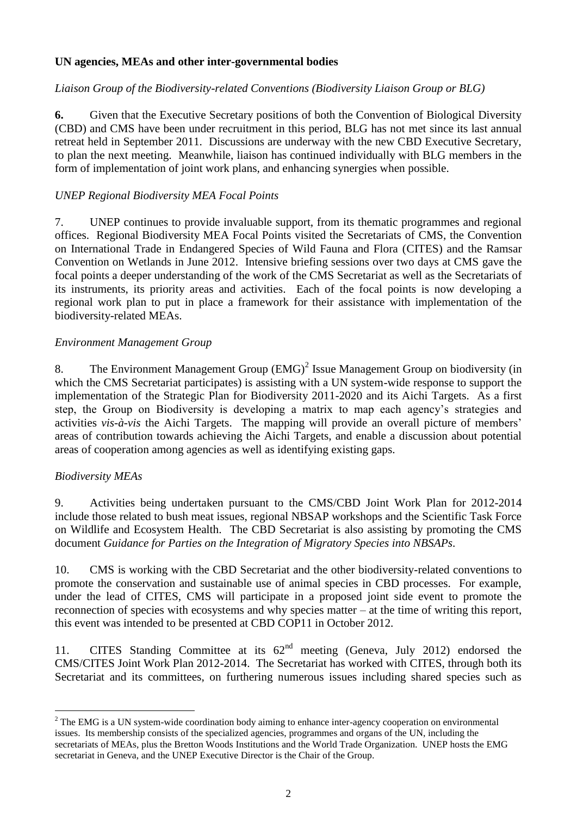### **UN agencies, MEAs and other inter-governmental bodies**

### *Liaison Group of the Biodiversity-related Conventions (Biodiversity Liaison Group or BLG)*

**6.** Given that the Executive Secretary positions of both the Convention of Biological Diversity (CBD) and CMS have been under recruitment in this period, BLG has not met since its last annual retreat held in September 2011. Discussions are underway with the new CBD Executive Secretary, to plan the next meeting. Meanwhile, liaison has continued individually with BLG members in the form of implementation of joint work plans, and enhancing synergies when possible.

### *UNEP Regional Biodiversity MEA Focal Points*

7. UNEP continues to provide invaluable support, from its thematic programmes and regional offices. Regional Biodiversity MEA Focal Points visited the Secretariats of CMS, the Convention on International Trade in Endangered Species of Wild Fauna and Flora (CITES) and the Ramsar Convention on Wetlands in June 2012. Intensive briefing sessions over two days at CMS gave the focal points a deeper understanding of the work of the CMS Secretariat as well as the Secretariats of its instruments, its priority areas and activities. Each of the focal points is now developing a regional work plan to put in place a framework for their assistance with implementation of the biodiversity-related MEAs.

#### *Environment Management Group*

8. The Environment Management Group  $(EMG)^2$  Issue Management Group on biodiversity (in which the CMS Secretariat participates) is assisting with a UN system-wide response to support the implementation of the Strategic Plan for Biodiversity 2011-2020 and its Aichi Targets. As a first step, the Group on Biodiversity is developing a matrix to map each agency's strategies and activities *vis-à-vis* the Aichi Targets. The mapping will provide an overall picture of members' areas of contribution towards achieving the Aichi Targets, and enable a discussion about potential areas of cooperation among agencies as well as identifying existing gaps.

#### *Biodiversity MEAs*

1

9. Activities being undertaken pursuant to the CMS/CBD Joint Work Plan for 2012-2014 include those related to bush meat issues, regional NBSAP workshops and the Scientific Task Force on Wildlife and Ecosystem Health. The CBD Secretariat is also assisting by promoting the CMS document *Guidance for Parties on the Integration of Migratory Species into NBSAPs*.

10. CMS is working with the CBD Secretariat and the other biodiversity-related conventions to promote the conservation and sustainable use of animal species in CBD processes. For example, under the lead of CITES, CMS will participate in a proposed joint side event to promote the reconnection of species with ecosystems and why species matter – at the time of writing this report, this event was intended to be presented at CBD COP11 in October 2012.

11. CITES Standing Committee at its  $62<sup>nd</sup>$  meeting (Geneva, July 2012) endorsed the CMS/CITES Joint Work Plan 2012-2014. The Secretariat has worked with CITES, through both its Secretariat and its committees, on furthering numerous issues including shared species such as

<sup>&</sup>lt;sup>2</sup> The EMG is a UN system-wide coordination body aiming to enhance inter-agency cooperation on environmental issues. Its membership consists of the specialized agencies, programmes and organs of the UN, including the secretariats of MEAs, plus the Bretton Woods Institutions and the World Trade Organization. UNEP hosts the EMG secretariat in Geneva, and the UNEP Executive Director is the Chair of the Group.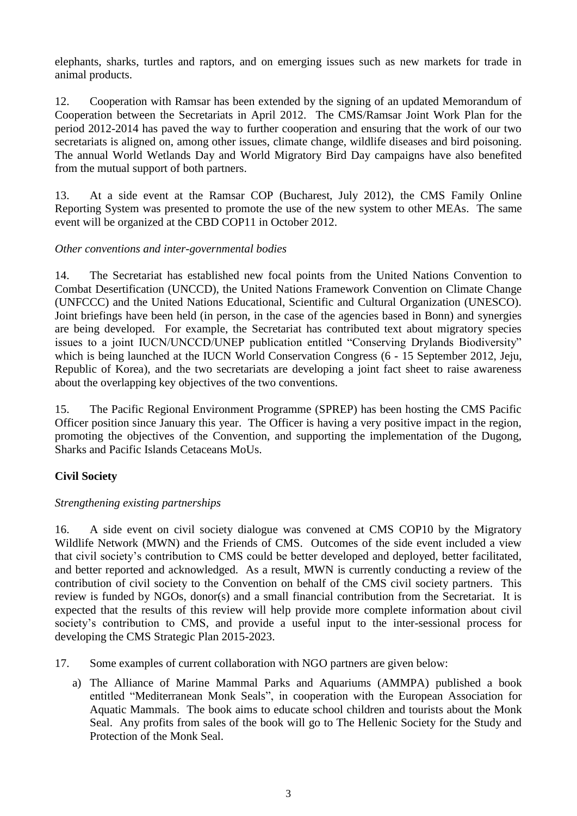elephants, sharks, turtles and raptors, and on emerging issues such as new markets for trade in animal products.

12. Cooperation with Ramsar has been extended by the signing of an updated Memorandum of Cooperation between the Secretariats in April 2012. The CMS/Ramsar Joint Work Plan for the period 2012-2014 has paved the way to further cooperation and ensuring that the work of our two secretariats is aligned on, among other issues, climate change, wildlife diseases and bird poisoning. The annual World Wetlands Day and World Migratory Bird Day campaigns have also benefited from the mutual support of both partners.

13. At a side event at the Ramsar COP (Bucharest, July 2012), the CMS Family Online Reporting System was presented to promote the use of the new system to other MEAs. The same event will be organized at the CBD COP11 in October 2012.

#### *Other conventions and inter-governmental bodies*

14. The Secretariat has established new focal points from the United Nations Convention to Combat Desertification (UNCCD), the United Nations Framework Convention on Climate Change (UNFCCC) and the United Nations Educational, Scientific and Cultural Organization (UNESCO). Joint briefings have been held (in person, in the case of the agencies based in Bonn) and synergies are being developed. For example, the Secretariat has contributed text about migratory species issues to a joint IUCN/UNCCD/UNEP publication entitled "Conserving Drylands Biodiversity" which is being launched at the IUCN World Conservation Congress (6 - 15 September 2012, Jeju, Republic of Korea), and the two secretariats are developing a joint fact sheet to raise awareness about the overlapping key objectives of the two conventions.

15. The Pacific Regional Environment Programme (SPREP) has been hosting the CMS Pacific Officer position since January this year. The Officer is having a very positive impact in the region, promoting the objectives of the Convention, and supporting the implementation of the Dugong, Sharks and Pacific Islands Cetaceans MoUs.

## **Civil Society**

## *Strengthening existing partnerships*

16. A side event on civil society dialogue was convened at CMS COP10 by the Migratory Wildlife Network (MWN) and the Friends of CMS. Outcomes of the side event included a view that civil society's contribution to CMS could be better developed and deployed, better facilitated, and better reported and acknowledged. As a result, MWN is currently conducting a review of the contribution of civil society to the Convention on behalf of the CMS civil society partners. This review is funded by NGOs, donor(s) and a small financial contribution from the Secretariat. It is expected that the results of this review will help provide more complete information about civil society's contribution to CMS, and provide a useful input to the inter-sessional process for developing the CMS Strategic Plan 2015-2023.

- 17. Some examples of current collaboration with NGO partners are given below:
	- a) The Alliance of Marine Mammal Parks and Aquariums (AMMPA) published a book entitled "Mediterranean Monk Seals", in cooperation with the European Association for Aquatic Mammals. The book aims to educate school children and tourists about the Monk Seal. Any profits from sales of the book will go to The Hellenic Society for the Study and Protection of the Monk Seal.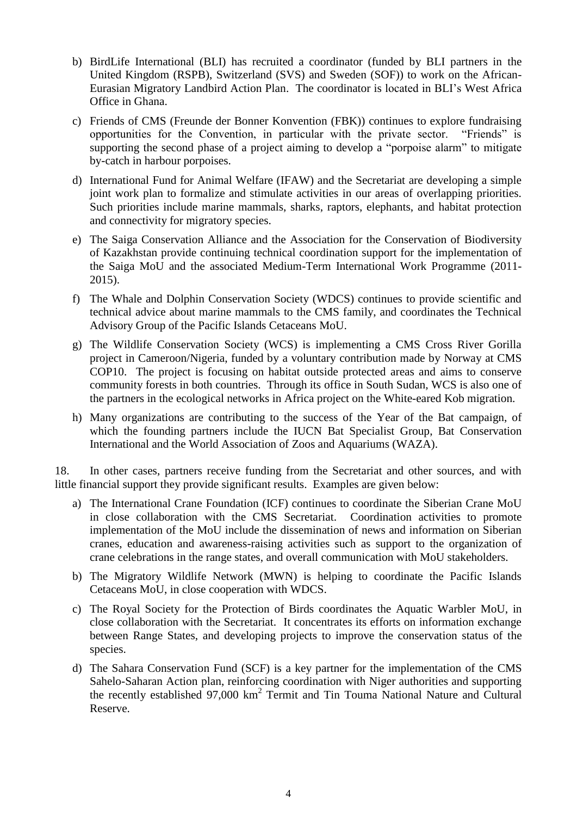- b) BirdLife International (BLI) has recruited a coordinator (funded by BLI partners in the United Kingdom (RSPB), Switzerland (SVS) and Sweden (SOF)) to work on the African-Eurasian Migratory Landbird Action Plan. The coordinator is located in BLI's West Africa Office in Ghana.
- c) Friends of CMS (Freunde der Bonner Konvention (FBK)) continues to explore fundraising opportunities for the Convention, in particular with the private sector. "Friends" is supporting the second phase of a project aiming to develop a "porpoise alarm" to mitigate by-catch in harbour porpoises.
- d) International Fund for Animal Welfare (IFAW) and the Secretariat are developing a simple joint work plan to formalize and stimulate activities in our areas of overlapping priorities. Such priorities include marine mammals, sharks, raptors, elephants, and habitat protection and connectivity for migratory species.
- e) The Saiga Conservation Alliance and the Association for the Conservation of Biodiversity of Kazakhstan provide continuing technical coordination support for the implementation of the Saiga MoU and the associated Medium-Term International Work Programme (2011- 2015).
- f) The Whale and Dolphin Conservation Society (WDCS) continues to provide scientific and technical advice about marine mammals to the CMS family, and coordinates the Technical Advisory Group of the Pacific Islands Cetaceans MoU.
- g) The Wildlife Conservation Society (WCS) is implementing a CMS Cross River Gorilla project in Cameroon/Nigeria, funded by a voluntary contribution made by Norway at CMS COP10. The project is focusing on habitat outside protected areas and aims to conserve community forests in both countries. Through its office in South Sudan, WCS is also one of the partners in the ecological networks in Africa project on the White-eared Kob migration.
- h) Many organizations are contributing to the success of the Year of the Bat campaign, of which the founding partners include the IUCN Bat Specialist Group, Bat Conservation International and the World Association of Zoos and Aquariums (WAZA).

18. In other cases, partners receive funding from the Secretariat and other sources, and with little financial support they provide significant results. Examples are given below:

- a) The International Crane Foundation (ICF) continues to coordinate the Siberian Crane MoU in close collaboration with the CMS Secretariat. Coordination activities to promote implementation of the MoU include the dissemination of news and information on Siberian cranes, education and awareness-raising activities such as support to the organization of crane celebrations in the range states, and overall communication with MoU stakeholders.
- b) The Migratory Wildlife Network (MWN) is helping to coordinate the Pacific Islands Cetaceans MoU, in close cooperation with WDCS.
- c) The Royal Society for the Protection of Birds coordinates the Aquatic Warbler MoU, in close collaboration with the Secretariat. It concentrates its efforts on information exchange between Range States, and developing projects to improve the conservation status of the species.
- d) The Sahara Conservation Fund (SCF) is a key partner for the implementation of the CMS Sahelo-Saharan Action plan, reinforcing coordination with Niger authorities and supporting the recently established 97,000 km<sup>2</sup> Termit and Tin Touma National Nature and Cultural Reserve.